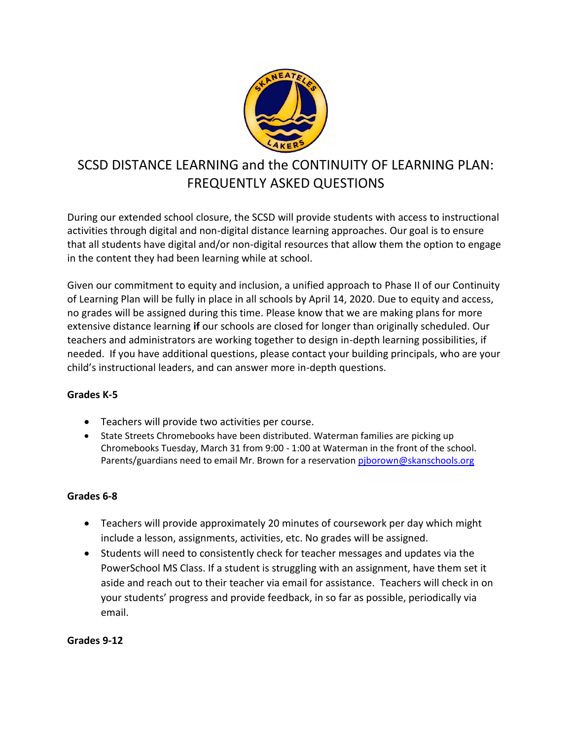

# SCSD DISTANCE LEARNING and the CONTINUITY OF LEARNING PLAN: FREQUENTLY ASKED QUESTIONS

During our extended school closure, the SCSD will provide students with access to instructional activities through digital and non-digital distance learning approaches. Our goal is to ensure that all students have digital and/or non-digital resources that allow them the option to engage in the content they had been learning while at school.

Given our commitment to equity and inclusion, a unified approach to Phase II of our Continuity of Learning Plan will be fully in place in all schools by April 14, 2020. Due to equity and access, no grades will be assigned during this time. Please know that we are making plans for more extensive distance learning **if** our schools are closed for longer than originally scheduled. Our teachers and administrators are working together to design in-depth learning possibilities, if needed. If you have additional questions, please contact your building principals, who are your child's instructional leaders, and can answer more in-depth questions.

# **Grades K-5**

- Teachers will provide two activities per course.
- State Streets Chromebooks have been distributed. Waterman families are picking up Chromebooks Tuesday, March 31 from 9:00 - 1:00 at Waterman in the front of the school. Parents/guardians need to email Mr. Brown for a reservation piborown@skanschools.org

# **Grades 6-8**

- Teachers will provide approximately 20 minutes of coursework per day which might include a lesson, assignments, activities, etc. No grades will be assigned.
- Students will need to consistently check for teacher messages and updates via the PowerSchool MS Class. If a student is struggling with an assignment, have them set it aside and reach out to their teacher via email for assistance. Teachers will check in on your students' progress and provide feedback, in so far as possible, periodically via email.

**Grades 9-12**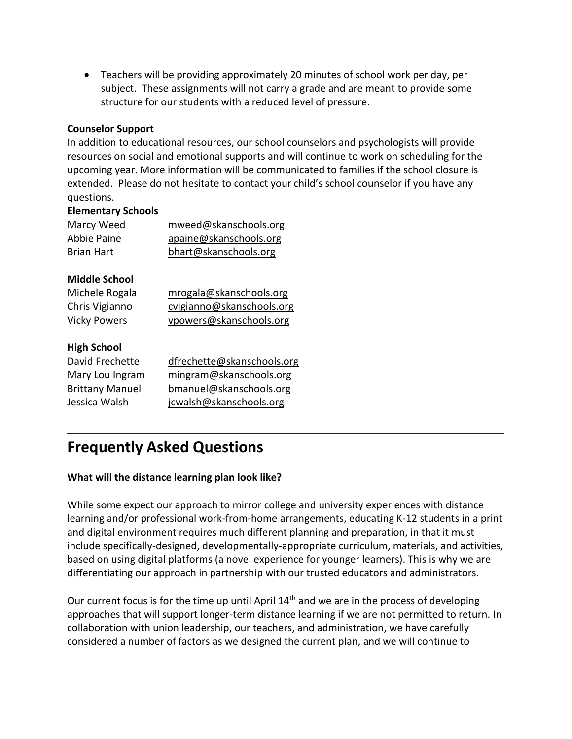Teachers will be providing approximately 20 minutes of school work per day, per subject. These assignments will not carry a grade and are meant to provide some structure for our students with a reduced level of pressure.

#### **Counselor Support**

In addition to educational resources, our school counselors and psychologists will provide resources on social and emotional supports and will continue to work on scheduling for the upcoming year. More information will be communicated to families if the school closure is extended. Please do not hesitate to contact your child's school counselor if you have any questions.

#### **Elementary Schools**

| Marcy Weed  | mweed@skanschools.org  |
|-------------|------------------------|
| Abbie Paine | apaine@skanschools.org |
| Brian Hart  | bhart@skanschools.org  |

# **Middle School**

| Michele Rogala      | mrogala@skanschools.org   |
|---------------------|---------------------------|
| Chris Vigianno      | cvigianno@skanschools.org |
| <b>Vicky Powers</b> | vpowers@skanschools.org   |

#### **High School**

| David Frechette        | dfrechette@skanschools.org |
|------------------------|----------------------------|
| Mary Lou Ingram        | mingram@skanschools.org    |
| <b>Brittany Manuel</b> | bmanuel@skanschools.org    |
| Jessica Walsh          | jcwalsh@skanschools.org    |

# **Frequently Asked Questions**

# **What will the distance learning plan look like?**

While some expect our approach to mirror college and university experiences with distance learning and/or professional work-from-home arrangements, educating K-12 students in a print and digital environment requires much different planning and preparation, in that it must include specifically-designed, developmentally-appropriate curriculum, materials, and activities, based on using digital platforms (a novel experience for younger learners). This is why we are differentiating our approach in partnership with our trusted educators and administrators.

Our current focus is for the time up until April  $14<sup>th</sup>$  and we are in the process of developing approaches that will support longer-term distance learning if we are not permitted to return. In collaboration with union leadership, our teachers, and administration, we have carefully considered a number of factors as we designed the current plan, and we will continue to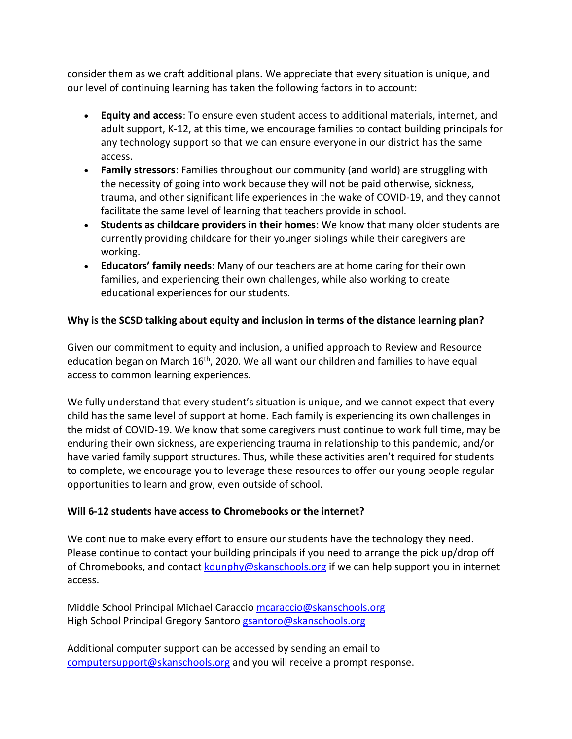consider them as we craft additional plans. We appreciate that every situation is unique, and our level of continuing learning has taken the following factors in to account:

- **Equity and access**: To ensure even student access to additional materials, internet, and adult support, K-12, at this time, we encourage families to contact building principals for any technology support so that we can ensure everyone in our district has the same access.
- **Family stressors**: Families throughout our community (and world) are struggling with the necessity of going into work because they will not be paid otherwise, sickness, trauma, and other significant life experiences in the wake of COVID-19, and they cannot facilitate the same level of learning that teachers provide in school.
- **Students as childcare providers in their homes**: We know that many older students are currently providing childcare for their younger siblings while their caregivers are working.
- **Educators' family needs**: Many of our teachers are at home caring for their own families, and experiencing their own challenges, while also working to create educational experiences for our students.

# **Why is the SCSD talking about equity and inclusion in terms of the distance learning plan?**

Given our commitment to equity and inclusion, a unified approach to Review and Resource education began on March  $16<sup>th</sup>$ , 2020. We all want our children and families to have equal access to common learning experiences.

We fully understand that every student's situation is unique, and we cannot expect that every child has the same level of support at home. Each family is experiencing its own challenges in the midst of COVID-19. We know that some caregivers must continue to work full time, may be enduring their own sickness, are experiencing trauma in relationship to this pandemic, and/or have varied family support structures. Thus, while these activities aren't required for students to complete, we encourage you to leverage these resources to offer our young people regular opportunities to learn and grow, even outside of school.

# **Will 6-12 students have access to Chromebooks or the internet?**

We continue to make every effort to ensure our students have the technology they need. Please continue to contact your building principals if you need to arrange the pick up/drop off of Chromebooks, and contact [kdunphy@skanschools.org](mailto:kdunphy@skanschools.org) if we can help support you in internet access.

Middle School Principal Michael Caraccio [mcaraccio@skanschools.org](mailto:mcaraccio@skanschools.org) High School Principal Gregory Santoro [gsantoro@skanschools.org](mailto:gsantoro@skanschools.org)

Additional computer support can be accessed by sending an email to [computersupport@skanschools.org](mailto:computersupport@skanschools.org) and you will receive a prompt response.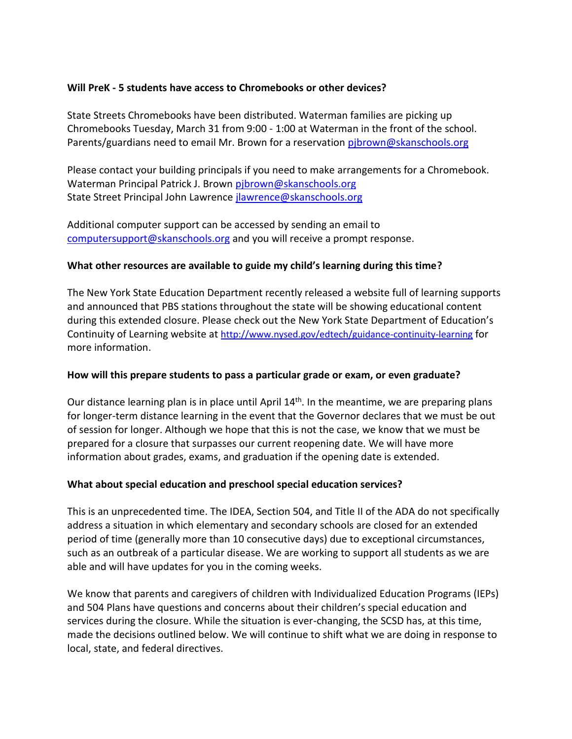#### **Will PreK - 5 students have access to Chromebooks or other devices?**

State Streets Chromebooks have been distributed. Waterman families are picking up Chromebooks Tuesday, March 31 from 9:00 - 1:00 at Waterman in the front of the school. Parents/guardians need to email Mr. Brown for a reservation [pjbrown@skanschools.org](mailto:pjbrown@skanschools.org)

Please contact your building principals if you need to make arrangements for a Chromebook. Waterman Principal Patrick J. Brown [pjbrown@skanschools.org](mailto:pjbrown@skanschools.org) State Street Principal John Lawrence [jlawrence@skanschools.org](mailto:jlawrence@skanschools.org)

Additional computer support can be accessed by sending an email to [computersupport@skanschools.org](mailto:computersupport@skanschools.org) and you will receive a prompt response.

#### **What other resources are available to guide my child's learning during this time?**

The New York State Education Department recently released a website full of learning supports and announced that PBS stations throughout the state will be showing educational content during this extended closure. Please check out the [New York State Department of Education's](http://www.nysed.gov/edtech/continuity-learning)  [Continuity of Learning website](http://www.nysed.gov/edtech/continuity-learning) at <http://www.nysed.gov/edtech/guidance-continuity-learning> for more information.

#### **How will this prepare students to pass a particular grade or exam, or even graduate?**

Our distance learning plan is in place until April  $14<sup>th</sup>$ . In the meantime, we are preparing plans for longer-term distance learning in the event that the Governor declares that we must be out of session for longer. Although we hope that this is not the case, we know that we must be prepared for a closure that surpasses our current reopening date. We will have more information about grades, exams, and graduation if the opening date is extended.

# **What about special education and preschool special education services?**

This is an unprecedented time. The IDEA, Section 504, and Title II of the ADA do not specifically address a situation in which elementary and secondary schools are closed for an extended period of time (generally more than 10 consecutive days) due to exceptional circumstances, such as an outbreak of a particular disease. We are working to support all students as we are able and will have updates for you in the coming weeks.

We know that parents and caregivers of children with Individualized Education Programs (IEPs) and 504 Plans have questions and concerns about their children's special education and services during the closure. While the situation is ever-changing, the SCSD has, at this time, made the decisions outlined below. We will continue to shift what we are doing in response to local, state, and federal directives.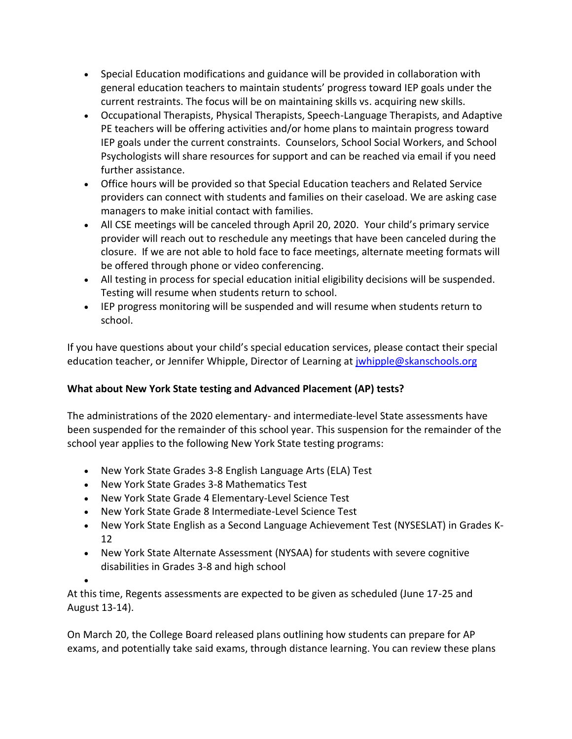- Special Education modifications and guidance will be provided in collaboration with general education teachers to maintain students' progress toward IEP goals under the current restraints. The focus will be on maintaining skills vs. acquiring new skills.
- Occupational Therapists, Physical Therapists, Speech-Language Therapists, and Adaptive PE teachers will be offering activities and/or home plans to maintain progress toward IEP goals under the current constraints. Counselors, School Social Workers, and School Psychologists will share resources for support and can be reached via email if you need further assistance.
- Office hours will be provided so that Special Education teachers and Related Service providers can connect with students and families on their caseload. We are asking case managers to make initial contact with families.
- All CSE meetings will be canceled through April 20, 2020. Your child's primary service provider will reach out to reschedule any meetings that have been canceled during the closure. If we are not able to hold face to face meetings, alternate meeting formats will be offered through phone or video conferencing.
- All testing in process for special education initial eligibility decisions will be suspended. Testing will resume when students return to school.
- IEP progress monitoring will be suspended and will resume when students return to school.

If you have questions about your child's special education services, please contact their special education teacher, or Jennifer Whipple, Director of Learning at [jwhipple@skanschools.org](mailto:jwhipple@skanschools.org)

# **What about New York State testing and Advanced Placement (AP) tests?**

The administrations of the 2020 elementary- and intermediate-level State assessments have been suspended for the remainder of this school year. This suspension for the remainder of the school year applies to the following New York State testing programs:

- New York State Grades 3-8 English Language Arts (ELA) Test
- New York State Grades 3-8 Mathematics Test
- New York State Grade 4 Elementary-Level Science Test
- New York State Grade 8 Intermediate-Level Science Test
- New York State English as a Second Language Achievement Test (NYSESLAT) in Grades K-12
- New York State Alternate Assessment (NYSAA) for students with severe cognitive disabilities in Grades 3-8 and high school

 $\bullet$ 

At this time, Regents assessments are expected to be given as scheduled (June 17-25 and August 13-14).

On March 20, the College Board released plans outlining how students can prepare for AP exams, and potentially take said exams, through distance learning. You can review these plans